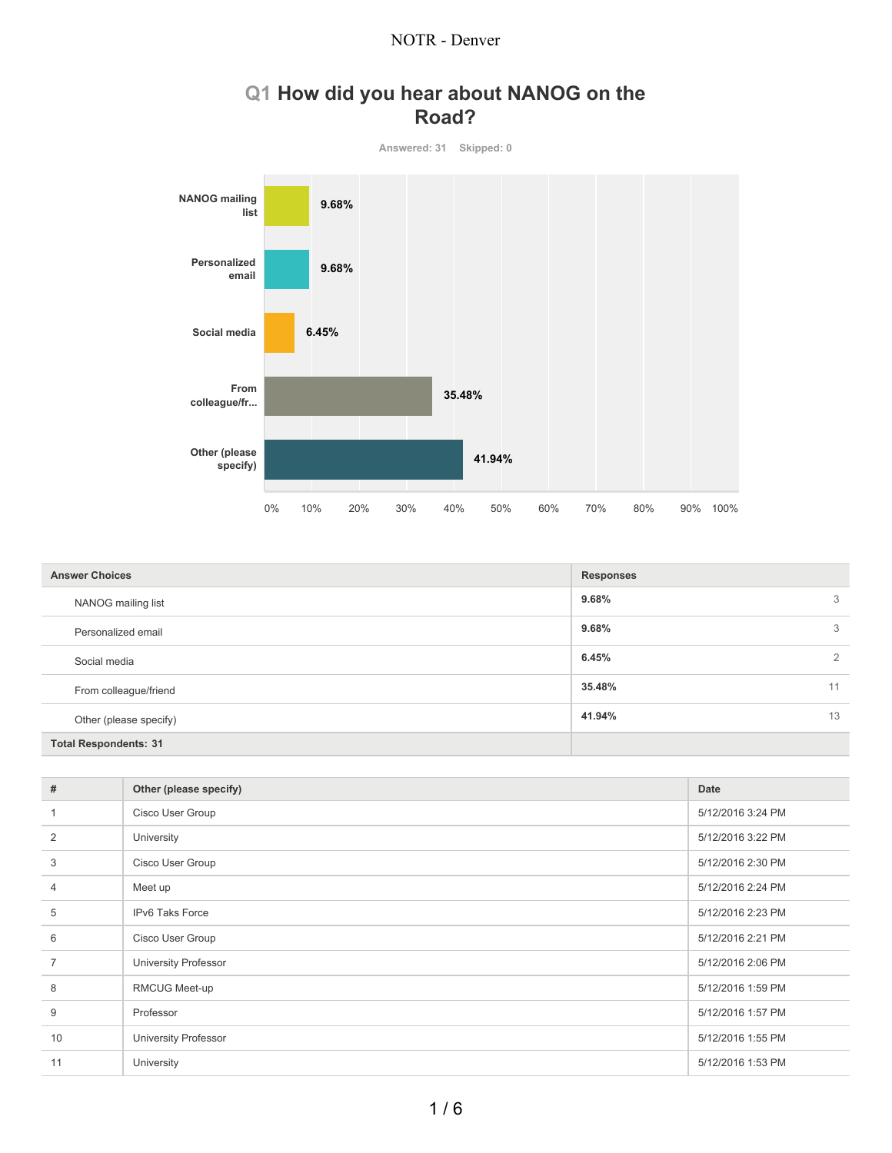

## **Q1 How did you hear about NANOG on the Road?**

| <b>Answer Choices</b>        | <b>Responses</b> |
|------------------------------|------------------|
| NANOG mailing list           | 9.68%<br>3       |
| Personalized email           | 9.68%<br>3       |
| Social media                 | 6.45%<br>2       |
| From colleague/friend        | 35.48%<br>11     |
| Other (please specify)       | 41.94%<br>13     |
| <b>Total Respondents: 31</b> |                  |

| #              | Other (please specify) | Date              |
|----------------|------------------------|-------------------|
|                | Cisco User Group       | 5/12/2016 3:24 PM |
| $\overline{2}$ | University             | 5/12/2016 3:22 PM |
| 3              | Cisco User Group       | 5/12/2016 2:30 PM |
| $\overline{4}$ | Meet up                | 5/12/2016 2:24 PM |
| 5              | IPv6 Taks Force        | 5/12/2016 2:23 PM |
| 6              | Cisco User Group       | 5/12/2016 2:21 PM |
|                | University Professor   | 5/12/2016 2:06 PM |
| 8              | RMCUG Meet-up          | 5/12/2016 1:59 PM |
| 9              | Professor              | 5/12/2016 1:57 PM |
| 10             | University Professor   | 5/12/2016 1:55 PM |
| 11             | University             | 5/12/2016 1:53 PM |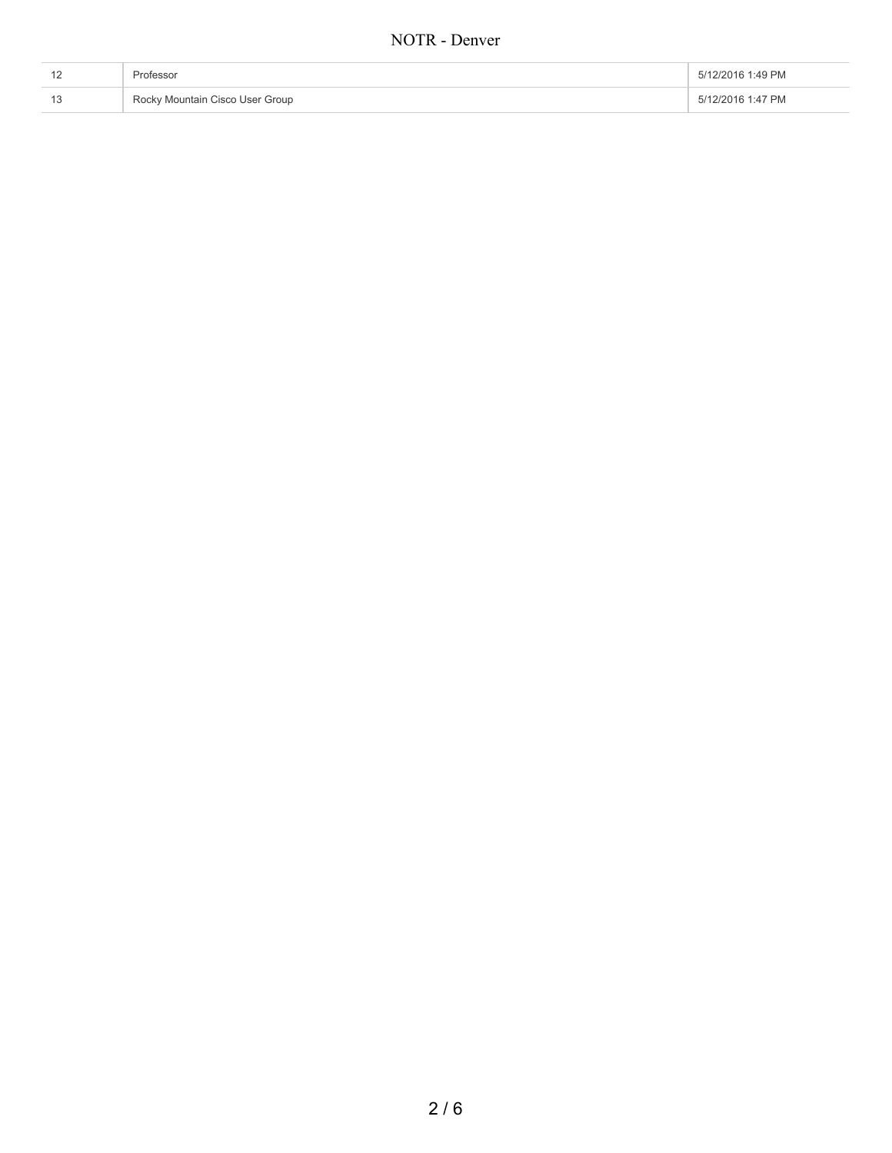| Professor                       | 5/12/2016 1:49 PM |
|---------------------------------|-------------------|
| Rocky Mountain Cisco User Group | 5/12/2016 1:47 PM |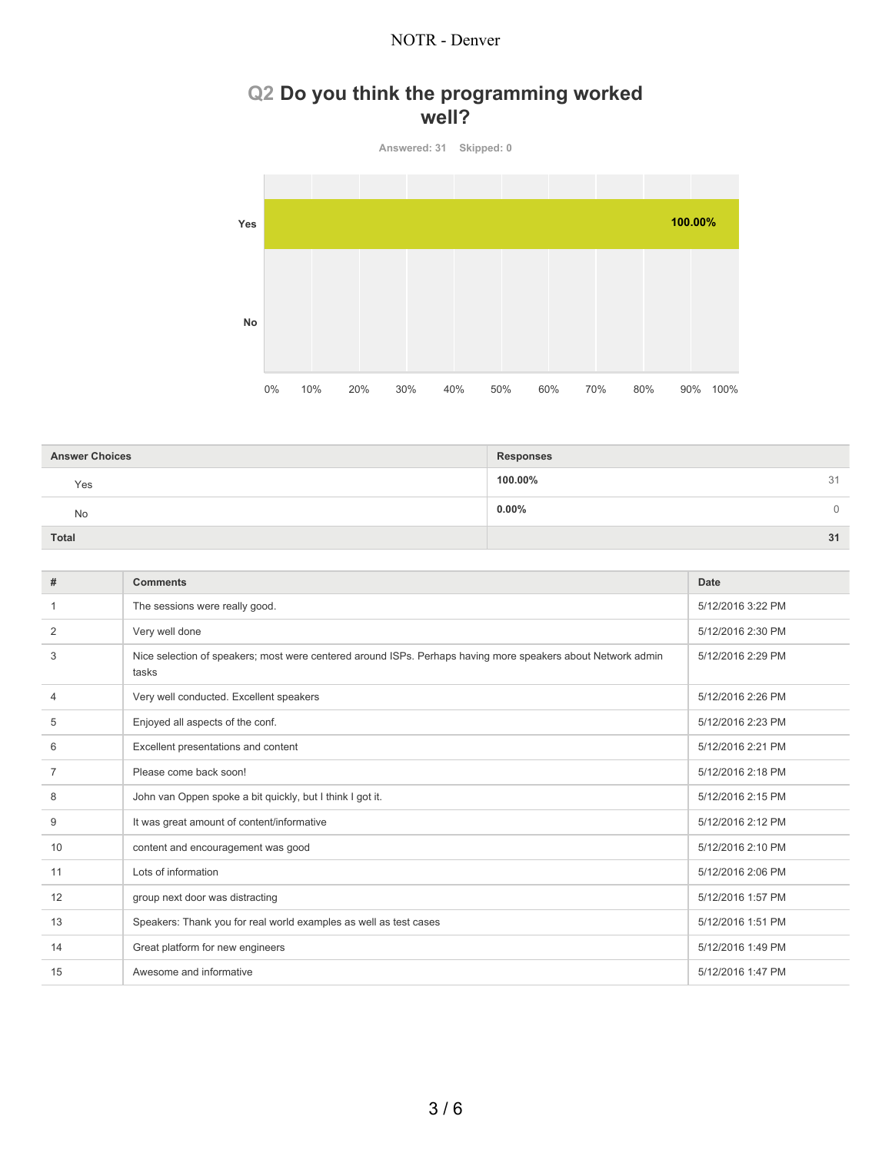## **Q2 Do you think the programming worked well?**



| <b>Answer Choices</b> | <b>Responses</b> |
|-----------------------|------------------|
| Yes                   | 100.00%<br>31    |
| No                    | $0.00\%$<br>0    |
| Total                 | 31               |

| #              | <b>Comments</b>                                                                                                       | <b>Date</b>       |
|----------------|-----------------------------------------------------------------------------------------------------------------------|-------------------|
| 1              | The sessions were really good.                                                                                        | 5/12/2016 3:22 PM |
| $\overline{2}$ | Very well done                                                                                                        | 5/12/2016 2:30 PM |
| 3              | Nice selection of speakers; most were centered around ISPs. Perhaps having more speakers about Network admin<br>tasks | 5/12/2016 2:29 PM |
| 4              | Very well conducted. Excellent speakers                                                                               | 5/12/2016 2:26 PM |
| 5              | Enjoyed all aspects of the conf.                                                                                      | 5/12/2016 2:23 PM |
| 6              | Excellent presentations and content                                                                                   | 5/12/2016 2:21 PM |
| $\overline{7}$ | Please come back soon!                                                                                                | 5/12/2016 2:18 PM |
| 8              | John van Oppen spoke a bit quickly, but I think I got it.                                                             | 5/12/2016 2:15 PM |
| 9              | It was great amount of content/informative                                                                            | 5/12/2016 2:12 PM |
| 10             | content and encouragement was good                                                                                    | 5/12/2016 2:10 PM |
| 11             | Lots of information                                                                                                   | 5/12/2016 2:06 PM |
| 12             | group next door was distracting                                                                                       | 5/12/2016 1:57 PM |
| 13             | Speakers: Thank you for real world examples as well as test cases                                                     | 5/12/2016 1:51 PM |
| 14             | Great platform for new engineers                                                                                      | 5/12/2016 1:49 PM |
| 15             | Awesome and informative                                                                                               | 5/12/2016 1:47 PM |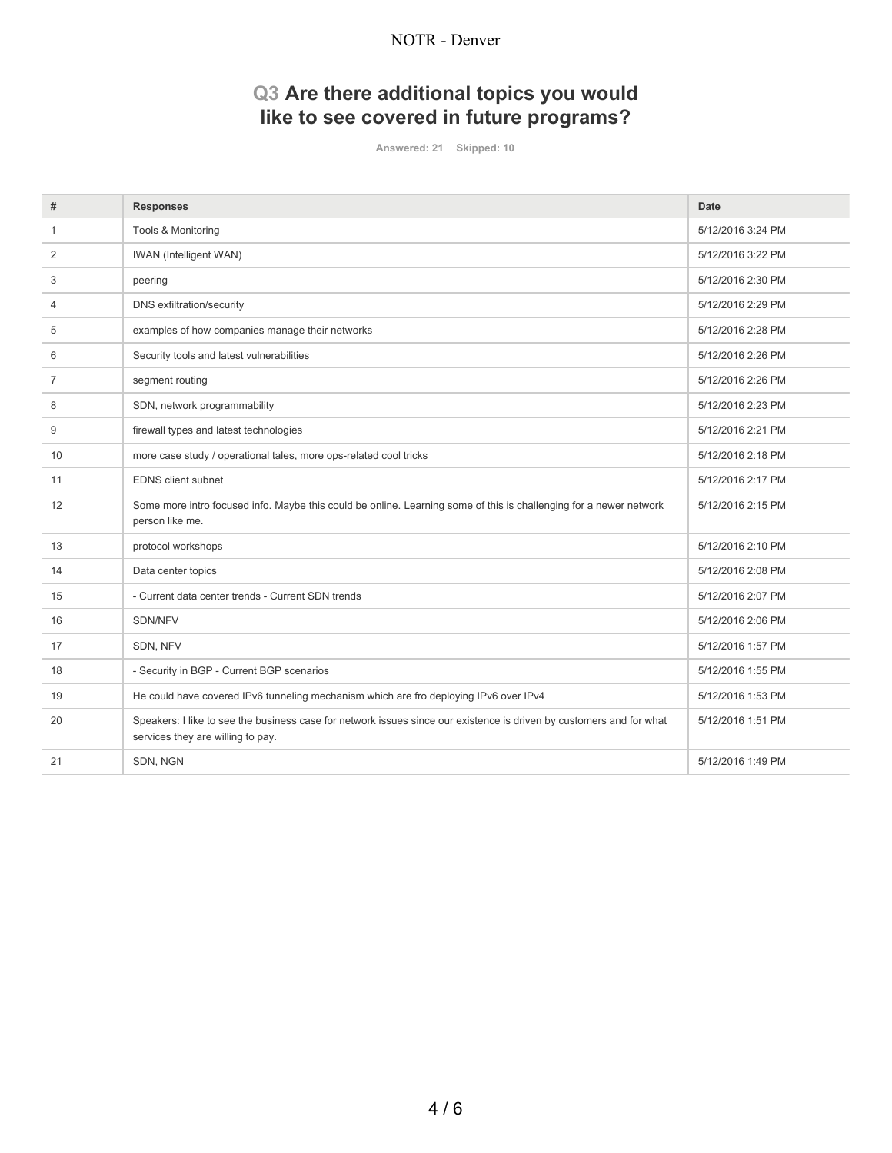## **Q3 Are there additional topics you would like to see covered in future programs?**

**Answered: 21 Skipped: 10**

| #              | <b>Responses</b>                                                                                                                                          | Date              |
|----------------|-----------------------------------------------------------------------------------------------------------------------------------------------------------|-------------------|
| -1             | Tools & Monitoring                                                                                                                                        | 5/12/2016 3:24 PM |
| 2              | <b>IWAN</b> (Intelligent WAN)                                                                                                                             | 5/12/2016 3:22 PM |
| 3              | peering                                                                                                                                                   | 5/12/2016 2:30 PM |
| 4              | <b>DNS</b> exfiltration/security                                                                                                                          | 5/12/2016 2:29 PM |
| 5              | examples of how companies manage their networks                                                                                                           | 5/12/2016 2:28 PM |
| 6              | Security tools and latest vulnerabilities                                                                                                                 | 5/12/2016 2:26 PM |
| $\overline{7}$ | segment routing                                                                                                                                           | 5/12/2016 2:26 PM |
| 8              | SDN, network programmability                                                                                                                              | 5/12/2016 2:23 PM |
| 9              | firewall types and latest technologies                                                                                                                    | 5/12/2016 2:21 PM |
| 10             | more case study / operational tales, more ops-related cool tricks                                                                                         | 5/12/2016 2:18 PM |
| 11             | <b>EDNS</b> client subnet                                                                                                                                 | 5/12/2016 2:17 PM |
| 12             | Some more intro focused info. Maybe this could be online. Learning some of this is challenging for a newer network<br>person like me.                     | 5/12/2016 2:15 PM |
| 13             | protocol workshops                                                                                                                                        | 5/12/2016 2:10 PM |
| 14             | Data center topics                                                                                                                                        | 5/12/2016 2:08 PM |
| 15             | - Current data center trends - Current SDN trends                                                                                                         | 5/12/2016 2:07 PM |
| 16             | SDN/NFV                                                                                                                                                   | 5/12/2016 2:06 PM |
| 17             | SDN, NFV                                                                                                                                                  | 5/12/2016 1:57 PM |
| 18             | - Security in BGP - Current BGP scenarios                                                                                                                 | 5/12/2016 1:55 PM |
| 19             | He could have covered IPv6 tunneling mechanism which are fro deploying IPv6 over IPv4                                                                     | 5/12/2016 1:53 PM |
| 20             | Speakers: I like to see the business case for network issues since our existence is driven by customers and for what<br>services they are willing to pay. | 5/12/2016 1:51 PM |
| 21             | SDN, NGN                                                                                                                                                  | 5/12/2016 1:49 PM |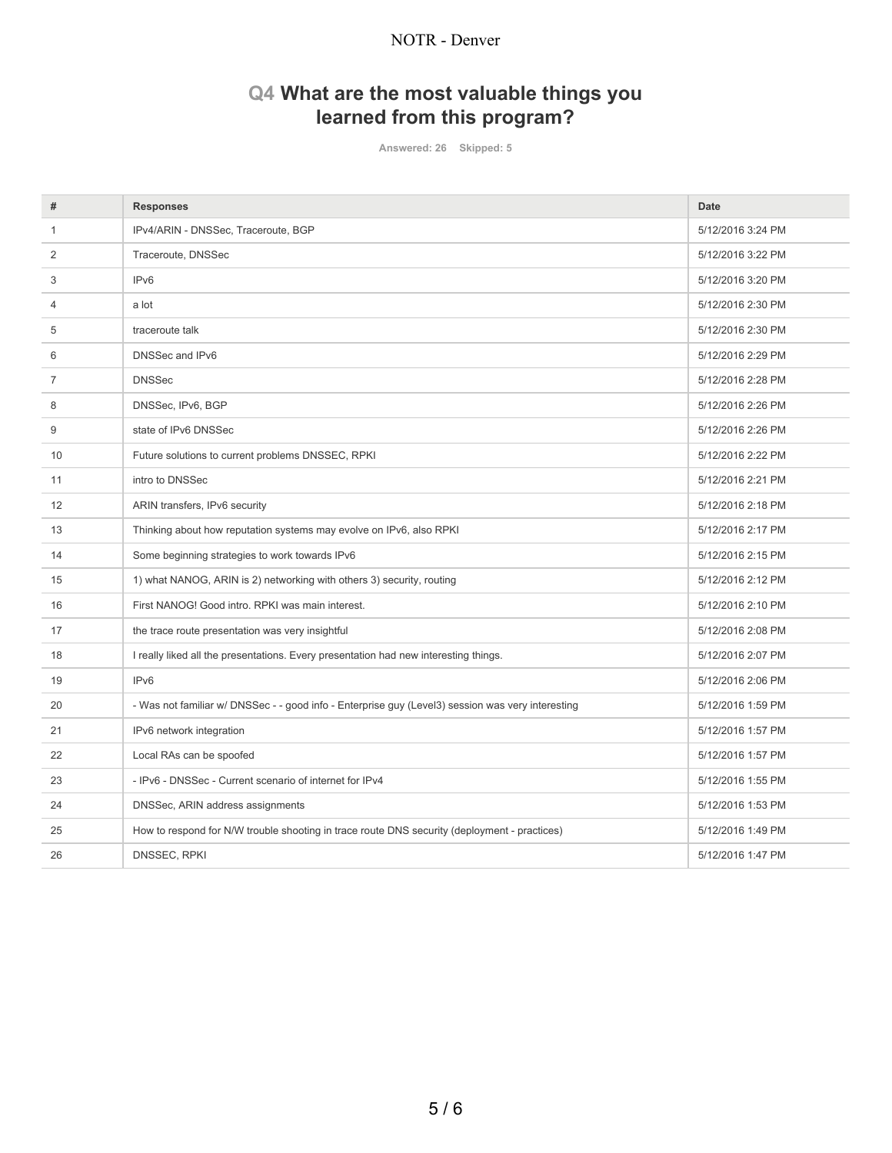# **Q4 What are the most valuable things you learned from this program?**

**Answered: 26 Skipped: 5**

| #              | <b>Responses</b>                                                                                  | <b>Date</b>       |
|----------------|---------------------------------------------------------------------------------------------------|-------------------|
| -1             | IPv4/ARIN - DNSSec, Traceroute, BGP                                                               | 5/12/2016 3:24 PM |
| 2              | Traceroute, DNSSec                                                                                | 5/12/2016 3:22 PM |
| 3              | IP <sub>v6</sub>                                                                                  | 5/12/2016 3:20 PM |
| $\overline{4}$ | a lot                                                                                             | 5/12/2016 2:30 PM |
| 5              | traceroute talk                                                                                   | 5/12/2016 2:30 PM |
| 6              | DNSSec and IPv6                                                                                   | 5/12/2016 2:29 PM |
| $\overline{7}$ | <b>DNSSec</b>                                                                                     | 5/12/2016 2:28 PM |
| 8              | DNSSec, IPv6, BGP                                                                                 | 5/12/2016 2:26 PM |
| 9              | state of IPv6 DNSSec                                                                              | 5/12/2016 2:26 PM |
| 10             | Future solutions to current problems DNSSEC, RPKI                                                 | 5/12/2016 2:22 PM |
| 11             | intro to DNSSec                                                                                   | 5/12/2016 2:21 PM |
| 12             | ARIN transfers, IPv6 security                                                                     | 5/12/2016 2:18 PM |
| 13             | Thinking about how reputation systems may evolve on IPv6, also RPKI                               | 5/12/2016 2:17 PM |
| 14             | Some beginning strategies to work towards IPv6                                                    | 5/12/2016 2:15 PM |
| 15             | 1) what NANOG, ARIN is 2) networking with others 3) security, routing                             | 5/12/2016 2:12 PM |
| 16             | First NANOG! Good intro. RPKI was main interest.                                                  | 5/12/2016 2:10 PM |
| 17             | the trace route presentation was very insightful                                                  | 5/12/2016 2:08 PM |
| 18             | I really liked all the presentations. Every presentation had new interesting things.              | 5/12/2016 2:07 PM |
| 19             | IP <sub>v6</sub>                                                                                  | 5/12/2016 2:06 PM |
| 20             | - Was not familiar w/ DNSSec - - good info - Enterprise guy (Level3) session was very interesting | 5/12/2016 1:59 PM |
| 21             | IPv6 network integration                                                                          | 5/12/2016 1:57 PM |
| 22             | Local RAs can be spoofed                                                                          | 5/12/2016 1:57 PM |
| 23             | - IPv6 - DNSSec - Current scenario of internet for IPv4                                           | 5/12/2016 1:55 PM |
| 24             | DNSSec, ARIN address assignments                                                                  | 5/12/2016 1:53 PM |
| 25             | How to respond for N/W trouble shooting in trace route DNS security (deployment - practices)      | 5/12/2016 1:49 PM |
| 26             | DNSSEC, RPKI                                                                                      | 5/12/2016 1:47 PM |